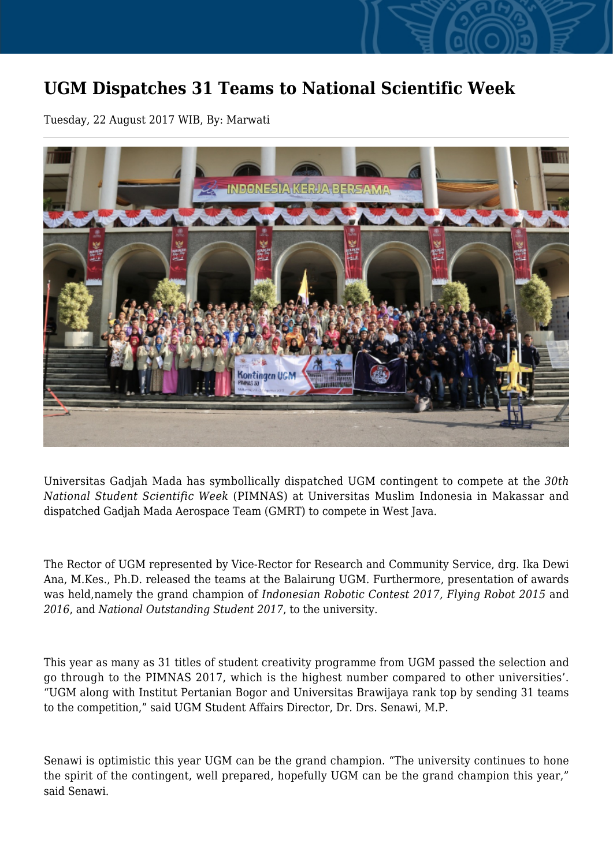## **UGM Dispatches 31 Teams to National Scientific Week**

Tuesday, 22 August 2017 WIB, By: Marwati



Universitas Gadjah Mada has symbollically dispatched UGM contingent to compete at the *30th National Student Scientific Week* (PIMNAS) at Universitas Muslim Indonesia in Makassar and dispatched Gadjah Mada Aerospace Team (GMRT) to compete in West Java.

The Rector of UGM represented by Vice-Rector for Research and Community Service, drg. Ika Dewi Ana, M.Kes., Ph.D. released the teams at the Balairung UGM. Furthermore, presentation of awards was held,namely the grand champion of *Indonesian Robotic Contest 2017, Flying Robot 2015* and *2016*, and *National Outstanding Student 2017*, to the university.

This year as many as 31 titles of student creativity programme from UGM passed the selection and go through to the PIMNAS 2017, which is the highest number compared to other universities'. "UGM along with Institut Pertanian Bogor and Universitas Brawijaya rank top by sending 31 teams to the competition," said UGM Student Affairs Director, Dr. Drs. Senawi, M.P.

Senawi is optimistic this year UGM can be the grand champion. "The university continues to hone the spirit of the contingent, well prepared, hopefully UGM can be the grand champion this year," said Senawi.